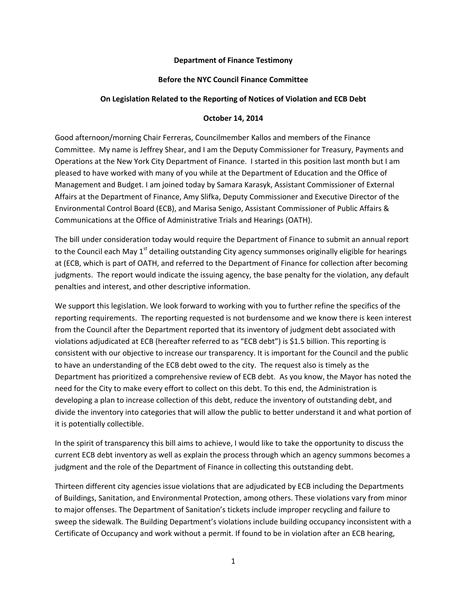## **Department of Finance Testimony**

## **Before the NYC Council Finance Committee**

## **On Legislation Related to the Reporting of Notices of Violation and ECB Debt**

## **October 14, 2014**

Good afternoon/morning Chair Ferreras, Councilmember Kallos and members of the Finance Committee. My name is Jeffrey Shear, and I am the Deputy Commissioner for Treasury, Payments and Operations at the New York City Department of Finance. I started in this position last month but I am pleased to have worked with many of you while at the Department of Education and the Office of Management and Budget. I am joined today by Samara Karasyk, Assistant Commissioner of External Affairs at the Department of Finance, Amy Slifka, Deputy Commissioner and Executive Director of the Environmental Control Board (ECB), and Marisa Senigo, Assistant Commissioner of Public Affairs & Communications at the Office of Administrative Trials and Hearings (OATH).

The bill under consideration today would require the Department of Finance to submit an annual report to the Council each May 1<sup>st</sup> detailing outstanding City agency summonses originally eligible for hearings at (ECB, which is part of OATH, and referred to the Department of Finance for collection after becoming judgments. The report would indicate the issuing agency, the base penalty for the violation, any default penalties and interest, and other descriptive information.

We support this legislation. We look forward to working with you to further refine the specifics of the reporting requirements. The reporting requested is not burdensome and we know there is keen interest from the Council after the Department reported that its inventory of judgment debt associated with violations adjudicated at ECB (hereafter referred to as "ECB debt") is \$1.5 billion. This reporting is consistent with our objective to increase our transparency. It is important for the Council and the public to have an understanding of the ECB debt owed to the city. The request also is timely as the Department has prioritized a comprehensive review of ECB debt. As you know, the Mayor has noted the need for the City to make every effort to collect on this debt. To this end, the Administration is developing a plan to increase collection of this debt, reduce the inventory of outstanding debt, and divide the inventory into categories that will allow the public to better understand it and what portion of it is potentially collectible.

In the spirit of transparency this bill aims to achieve, I would like to take the opportunity to discuss the current ECB debt inventory as well as explain the process through which an agency summons becomes a judgment and the role of the Department of Finance in collecting this outstanding debt.

Thirteen different city agencies issue violations that are adjudicated by ECB including the Departments of Buildings, Sanitation, and Environmental Protection, among others. These violations vary from minor to major offenses. The Department of Sanitation's tickets include improper recycling and failure to sweep the sidewalk. The Building Department's violations include building occupancy inconsistent with a Certificate of Occupancy and work without a permit. If found to be in violation after an ECB hearing,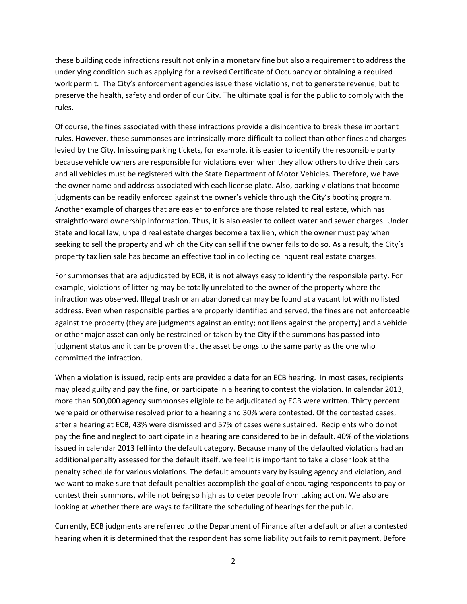these building code infractions result not only in a monetary fine but also a requirement to address the underlying condition such as applying for a revised Certificate of Occupancy or obtaining a required work permit. The City's enforcement agencies issue these violations, not to generate revenue, but to preserve the health, safety and order of our City. The ultimate goal is for the public to comply with the rules.

Of course, the fines associated with these infractions provide a disincentive to break these important rules. However, these summonses are intrinsically more difficult to collect than other fines and charges levied by the City. In issuing parking tickets, for example, it is easier to identify the responsible party because vehicle owners are responsible for violations even when they allow others to drive their cars and all vehicles must be registered with the State Department of Motor Vehicles. Therefore, we have the owner name and address associated with each license plate. Also, parking violations that become judgments can be readily enforced against the owner's vehicle through the City's booting program. Another example of charges that are easier to enforce are those related to real estate, which has straightforward ownership information. Thus, it is also easier to collect water and sewer charges. Under State and local law, unpaid real estate charges become a tax lien, which the owner must pay when seeking to sell the property and which the City can sell if the owner fails to do so. As a result, the City's property tax lien sale has become an effective tool in collecting delinquent real estate charges.

For summonses that are adjudicated by ECB, it is not always easy to identify the responsible party. For example, violations of littering may be totally unrelated to the owner of the property where the infraction was observed. Illegal trash or an abandoned car may be found at a vacant lot with no listed address. Even when responsible parties are properly identified and served, the fines are not enforceable against the property (they are judgments against an entity; not liens against the property) and a vehicle or other major asset can only be restrained or taken by the City if the summons has passed into judgment status and it can be proven that the asset belongs to the same party as the one who committed the infraction.

When a violation is issued, recipients are provided a date for an ECB hearing. In most cases, recipients may plead guilty and pay the fine, or participate in a hearing to contest the violation. In calendar 2013, more than 500,000 agency summonses eligible to be adjudicated by ECB were written. Thirty percent were paid or otherwise resolved prior to a hearing and 30% were contested. Of the contested cases, after a hearing at ECB, 43% were dismissed and 57% of cases were sustained. Recipients who do not pay the fine and neglect to participate in a hearing are considered to be in default. 40% of the violations issued in calendar 2013 fell into the default category. Because many of the defaulted violations had an additional penalty assessed for the default itself, we feel it is important to take a closer look at the penalty schedule for various violations. The default amounts vary by issuing agency and violation, and we want to make sure that default penalties accomplish the goal of encouraging respondents to pay or contest their summons, while not being so high as to deter people from taking action. We also are looking at whether there are ways to facilitate the scheduling of hearings for the public.

Currently, ECB judgments are referred to the Department of Finance after a default or after a contested hearing when it is determined that the respondent has some liability but fails to remit payment. Before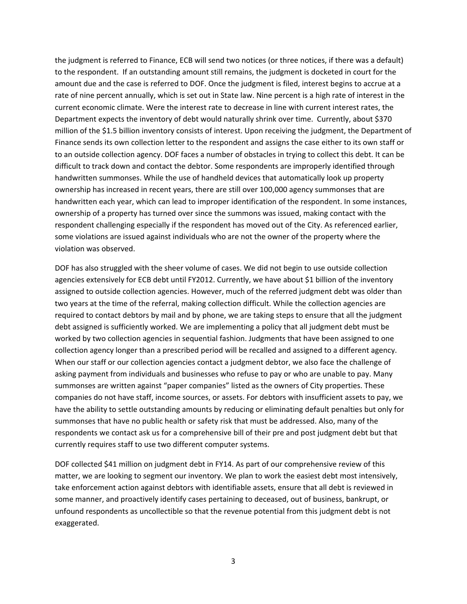the judgment is referred to Finance, ECB will send two notices (or three notices, if there was a default) to the respondent. If an outstanding amount still remains, the judgment is docketed in court for the amount due and the case is referred to DOF. Once the judgment is filed, interest begins to accrue at a rate of nine percent annually, which is set out in State law. Nine percent is a high rate of interest in the current economic climate. Were the interest rate to decrease in line with current interest rates, the Department expects the inventory of debt would naturally shrink over time. Currently, about \$370 million of the \$1.5 billion inventory consists of interest. Upon receiving the judgment, the Department of Finance sends its own collection letter to the respondent and assigns the case either to its own staff or to an outside collection agency. DOF faces a number of obstacles in trying to collect this debt. It can be difficult to track down and contact the debtor. Some respondents are improperly identified through handwritten summonses. While the use of handheld devices that automatically look up property ownership has increased in recent years, there are still over 100,000 agency summonses that are handwritten each year, which can lead to improper identification of the respondent. In some instances, ownership of a property has turned over since the summons was issued, making contact with the respondent challenging especially if the respondent has moved out of the City. As referenced earlier, some violations are issued against individuals who are not the owner of the property where the violation was observed.

DOF has also struggled with the sheer volume of cases. We did not begin to use outside collection agencies extensively for ECB debt until FY2012. Currently, we have about \$1 billion of the inventory assigned to outside collection agencies. However, much of the referred judgment debt was older than two years at the time of the referral, making collection difficult. While the collection agencies are required to contact debtors by mail and by phone, we are taking steps to ensure that all the judgment debt assigned is sufficiently worked. We are implementing a policy that all judgment debt must be worked by two collection agencies in sequential fashion. Judgments that have been assigned to one collection agency longer than a prescribed period will be recalled and assigned to a different agency. When our staff or our collection agencies contact a judgment debtor, we also face the challenge of asking payment from individuals and businesses who refuse to pay or who are unable to pay. Many summonses are written against "paper companies" listed as the owners of City properties. These companies do not have staff, income sources, or assets. For debtors with insufficient assets to pay, we have the ability to settle outstanding amounts by reducing or eliminating default penalties but only for summonses that have no public health or safety risk that must be addressed. Also, many of the respondents we contact ask us for a comprehensive bill of their pre and post judgment debt but that currently requires staff to use two different computer systems.

DOF collected \$41 million on judgment debt in FY14. As part of our comprehensive review of this matter, we are looking to segment our inventory. We plan to work the easiest debt most intensively, take enforcement action against debtors with identifiable assets, ensure that all debt is reviewed in some manner, and proactively identify cases pertaining to deceased, out of business, bankrupt, or unfound respondents as uncollectible so that the revenue potential from this judgment debt is not exaggerated.